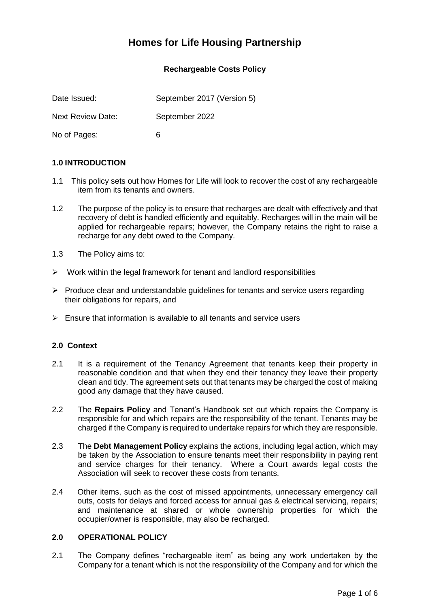# **Homes for Life Housing Partnership**

## **Rechargeable Costs Policy**

| Date Issued:             | September 2017 (Version 5) |
|--------------------------|----------------------------|
| <b>Next Review Date:</b> | September 2022             |
| No of Pages:             | 6                          |

#### **1.0 INTRODUCTION**

- 1.1 This policy sets out how Homes for Life will look to recover the cost of any rechargeable item from its tenants and owners.
- 1.2 The purpose of the policy is to ensure that recharges are dealt with effectively and that recovery of debt is handled efficiently and equitably. Recharges will in the main will be applied for rechargeable repairs; however, the Company retains the right to raise a recharge for any debt owed to the Company.
- 1.3 The Policy aims to:
- ➢ Work within the legal framework for tenant and landlord responsibilities
- $\triangleright$  Produce clear and understandable quidelines for tenants and service users regarding their obligations for repairs, and
- $\triangleright$  Ensure that information is available to all tenants and service users

#### **2.0 Context**

- 2.1 It is a requirement of the Tenancy Agreement that tenants keep their property in reasonable condition and that when they end their tenancy they leave their property clean and tidy. The agreement sets out that tenants may be charged the cost of making good any damage that they have caused.
- 2.2 The **Repairs Policy** and Tenant's Handbook set out which repairs the Company is responsible for and which repairs are the responsibility of the tenant. Tenants may be charged if the Company is required to undertake repairs for which they are responsible.
- 2.3 The **Debt Management Policy** explains the actions, including legal action, which may be taken by the Association to ensure tenants meet their responsibility in paying rent and service charges for their tenancy. Where a Court awards legal costs the Association will seek to recover these costs from tenants.
- 2.4 Other items, such as the cost of missed appointments, unnecessary emergency call outs, costs for delays and forced access for annual gas & electrical servicing, repairs; and maintenance at shared or whole ownership properties for which the occupier/owner is responsible, may also be recharged.

#### **2.0 OPERATIONAL POLICY**

2.1 The Company defines "rechargeable item" as being any work undertaken by the Company for a tenant which is not the responsibility of the Company and for which the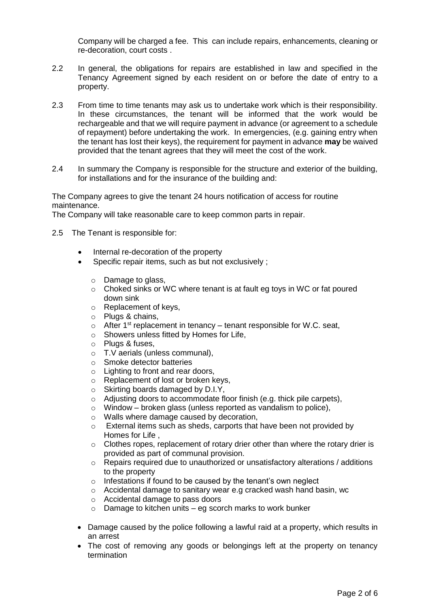Company will be charged a fee. This can include repairs, enhancements, cleaning or re-decoration, court costs .

- 2.2 In general, the obligations for repairs are established in law and specified in the Tenancy Agreement signed by each resident on or before the date of entry to a property.
- 2.3 From time to time tenants may ask us to undertake work which is their responsibility. In these circumstances, the tenant will be informed that the work would be rechargeable and that we will require payment in advance (or agreement to a schedule of repayment) before undertaking the work. In emergencies, (e.g. gaining entry when the tenant has lost their keys), the requirement for payment in advance **may** be waived provided that the tenant agrees that they will meet the cost of the work.
- 2.4 In summary the Company is responsible for the structure and exterior of the building, for installations and for the insurance of the building and:

The Company agrees to give the tenant 24 hours notification of access for routine maintenance.

The Company will take reasonable care to keep common parts in repair.

- 2.5 The Tenant is responsible for:
	- Internal re-decoration of the property
	- Specific repair items, such as but not exclusively ;
		- o Damage to glass,
		- o Choked sinks or WC where tenant is at fault eg toys in WC or fat poured down sink
		- o Replacement of keys,
		- o Plugs & chains,
		- $\circ$  After 1<sup>st</sup> replacement in tenancy tenant responsible for W.C. seat,
		- o Showers unless fitted by Homes for Life,
		- o Plugs & fuses,
		- o T.V aerials (unless communal),
		- o Smoke detector batteries
		- $\circ$  Lighting to front and rear doors.
		- o Replacement of lost or broken keys,
		- o Skirting boards damaged by D.I.Y,
		- o Adjusting doors to accommodate floor finish (e.g. thick pile carpets),
		- $\circ$  Window broken glass (unless reported as vandalism to police),
		- o Walls where damage caused by decoration,
		- o External items such as sheds, carports that have been not provided by Homes for Life ,
		- o Clothes ropes, replacement of rotary drier other than where the rotary drier is provided as part of communal provision.
		- $\circ$  Repairs required due to unauthorized or unsatisfactory alterations / additions to the property
		- o Infestations if found to be caused by the tenant's own neglect
		- o Accidental damage to sanitary wear e.g cracked wash hand basin, wc
		- o Accidental damage to pass doors
		- $\circ$  Damage to kitchen units eg scorch marks to work bunker
	- Damage caused by the police following a lawful raid at a property, which results in an arrest
	- The cost of removing any goods or belongings left at the property on tenancy termination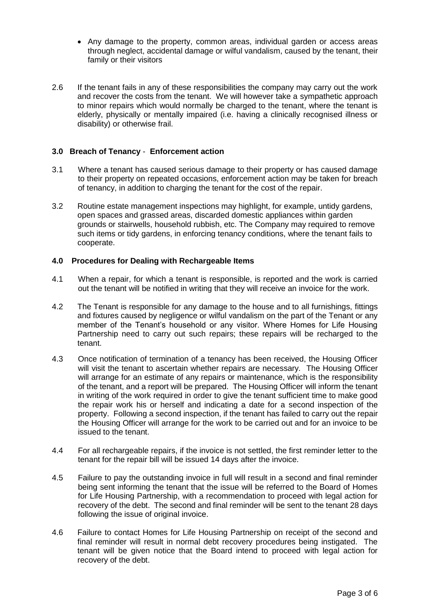- Any damage to the property, common areas, individual garden or access areas through neglect, accidental damage or wilful vandalism, caused by the tenant, their family or their visitors
- 2.6 If the tenant fails in any of these responsibilities the company may carry out the work and recover the costs from the tenant. We will however take a sympathetic approach to minor repairs which would normally be charged to the tenant, where the tenant is elderly, physically or mentally impaired (i.e. having a clinically recognised illness or disability) or otherwise frail.

## **3.0 Breach of Tenancy** - **Enforcement action**

- 3.1 Where a tenant has caused serious damage to their property or has caused damage to their property on repeated occasions, enforcement action may be taken for breach of tenancy, in addition to charging the tenant for the cost of the repair.
- 3.2 Routine estate management inspections may highlight, for example, untidy gardens, open spaces and grassed areas, discarded domestic appliances within garden grounds or stairwells, household rubbish, etc. The Company may required to remove such items or tidy gardens, in enforcing tenancy conditions, where the tenant fails to cooperate.

#### **4.0 Procedures for Dealing with Rechargeable Items**

- 4.1 When a repair, for which a tenant is responsible, is reported and the work is carried out the tenant will be notified in writing that they will receive an invoice for the work.
- 4.2 The Tenant is responsible for any damage to the house and to all furnishings, fittings and fixtures caused by negligence or wilful vandalism on the part of the Tenant or any member of the Tenant's household or any visitor. Where Homes for Life Housing Partnership need to carry out such repairs; these repairs will be recharged to the tenant.
- 4.3 Once notification of termination of a tenancy has been received, the Housing Officer will visit the tenant to ascertain whether repairs are necessary*.* The Housing Officer will arrange for an estimate of any repairs or maintenance, which is the responsibility of the tenant, and a report will be prepared. The Housing Officer will inform the tenant in writing of the work required in order to give the tenant sufficient time to make good the repair work his or herself and indicating a date for a second inspection of the property. Following a second inspection, if the tenant has failed to carry out the repair the Housing Officer will arrange for the work to be carried out and for an invoice to be issued to the tenant.
- 4.4 For all rechargeable repairs, if the invoice is not settled, the first reminder letter to the tenant for the repair bill will be issued 14 days after the invoice.
- 4.5 Failure to pay the outstanding invoice in full will result in a second and final reminder being sent informing the tenant that the issue will be referred to the Board of Homes for Life Housing Partnership, with a recommendation to proceed with legal action for recovery of the debt. The second and final reminder will be sent to the tenant 28 days following the issue of original invoice.
- 4.6 Failure to contact Homes for Life Housing Partnership on receipt of the second and final reminder will result in normal debt recovery procedures being instigated. The tenant will be given notice that the Board intend to proceed with legal action for recovery of the debt.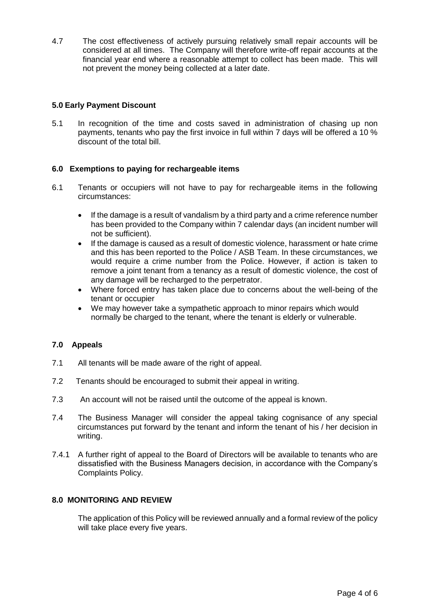4.7 The cost effectiveness of actively pursuing relatively small repair accounts will be considered at all times. The Company will therefore write-off repair accounts at the financial year end where a reasonable attempt to collect has been made. This will not prevent the money being collected at a later date.

## **5.0 Early Payment Discount**

5.1 In recognition of the time and costs saved in administration of chasing up non payments, tenants who pay the first invoice in full within 7 days will be offered a 10 % discount of the total bill.

## **6.0 Exemptions to paying for rechargeable items**

- 6.1 Tenants or occupiers will not have to pay for rechargeable items in the following circumstances:
	- If the damage is a result of vandalism by a third party and a crime reference number has been provided to the Company within 7 calendar days (an incident number will not be sufficient).
	- If the damage is caused as a result of domestic violence, harassment or hate crime and this has been reported to the Police / ASB Team. In these circumstances, we would require a crime number from the Police. However, if action is taken to remove a joint tenant from a tenancy as a result of domestic violence, the cost of any damage will be recharged to the perpetrator.
	- Where forced entry has taken place due to concerns about the well-being of the tenant or occupier
	- We may however take a sympathetic approach to minor repairs which would normally be charged to the tenant, where the tenant is elderly or vulnerable.

## **7.0 Appeals**

- 7.1 All tenants will be made aware of the right of appeal.
- 7.2 Tenants should be encouraged to submit their appeal in writing.
- 7.3 An account will not be raised until the outcome of the appeal is known.
- 7.4 The Business Manager will consider the appeal taking cognisance of any special circumstances put forward by the tenant and inform the tenant of his / her decision in writing.
- 7.4.1 A further right of appeal to the Board of Directors will be available to tenants who are dissatisfied with the Business Managers decision, in accordance with the Company's Complaints Policy.

## **8.0 MONITORING AND REVIEW**

The application of this Policy will be reviewed annually and a formal review of the policy will take place every five years.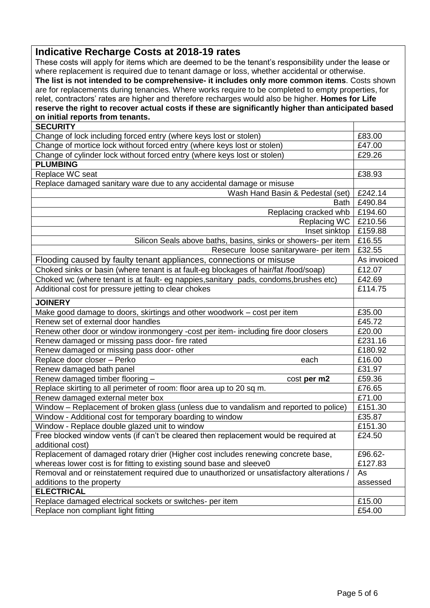## **Indicative Recharge Costs at 2018-19 rates**

These costs will apply for items which are deemed to be the tenant's responsibility under the lease or where replacement is required due to tenant damage or loss, whether accidental or otherwise. **The list is not intended to be comprehensive- it includes only more common items**. Costs shown are for replacements during tenancies. Where works require to be completed to empty properties, for relet, contractors' rates are higher and therefore recharges would also be higher. **Homes for Life reserve the right to recover actual costs if these are significantly higher than anticipated based on initial reports from tenants.**

| <b>SECURITY</b>                                                                           |         |  |
|-------------------------------------------------------------------------------------------|---------|--|
| Change of lock including forced entry (where keys lost or stolen)                         | £83.00  |  |
| Change of mortice lock without forced entry (where keys lost or stolen)                   | £47.00  |  |
| Change of cylinder lock without forced entry (where keys lost or stolen)                  |         |  |
| <b>PLUMBING</b>                                                                           |         |  |
| Replace WC seat                                                                           |         |  |
| Replace damaged sanitary ware due to any accidental damage or misuse                      |         |  |
| Wash Hand Basin & Pedestal (set)                                                          | £242.14 |  |
| <b>Bath</b>                                                                               | £490.84 |  |
| Replacing cracked whb                                                                     |         |  |
| <b>Replacing WC</b>                                                                       |         |  |
| Inset sinktop                                                                             |         |  |
| Silicon Seals above baths, basins, sinks or showers- per item                             |         |  |
| Resecure loose sanitaryware- per item                                                     | £32.55  |  |
| Flooding caused by faulty tenant appliances, connections or misuse                        |         |  |
| Choked sinks or basin (where tenant is at fault-eg blockages of hair/fat /food/soap)      |         |  |
| Choked wc (where tenant is at fault- eg nappies, sanitary pads, condoms, brushes etc)     |         |  |
| Additional cost for pressure jetting to clear chokes                                      | £114.75 |  |
| <b>JOINERY</b>                                                                            |         |  |
| Make good damage to doors, skirtings and other woodwork - cost per item                   |         |  |
| Renew set of external door handles                                                        |         |  |
| Renew other door or window ironmongery -cost per item- including fire door closers        |         |  |
| Renew damaged or missing pass door- fire rated                                            |         |  |
| Renew damaged or missing pass door- other                                                 |         |  |
| Replace door closer - Perko<br>each                                                       |         |  |
| Renew damaged bath panel                                                                  | £31.97  |  |
| Renew damaged timber flooring -<br>cost per m2                                            | £59.36  |  |
| Replace skirting to all perimeter of room: floor area up to 20 sq m.                      |         |  |
| Renew damaged external meter box                                                          |         |  |
| Window - Replacement of broken glass (unless due to vandalism and reported to police)     |         |  |
| Window - Additional cost for temporary boarding to window                                 |         |  |
| Window - Replace double glazed unit to window                                             |         |  |
| Free blocked window vents (if can't be cleared then replacement would be required at      |         |  |
| additional cost)                                                                          |         |  |
| Replacement of damaged rotary drier (Higher cost includes renewing concrete base,         |         |  |
| whereas lower cost is for fitting to existing sound base and sleeve0                      |         |  |
| Removal and or reinstatement required due to unauthorized or unsatisfactory alterations / |         |  |
| additions to the property                                                                 |         |  |
| <b>ELECTRICAL</b>                                                                         |         |  |
| Replace damaged electrical sockets or switches- per item                                  |         |  |
| Replace non compliant light fitting                                                       |         |  |